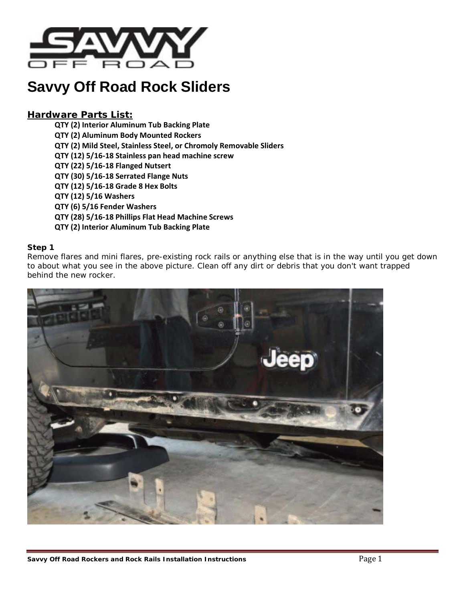

# **Savvy Off Road Rock Sliders**

# *Hardware Parts List:*

**QTY (2) Interior Aluminum Tub Backing Plate QTY (2) Aluminum Body Mounted Rockers QTY (2) Mild Steel, Stainless Steel, or Chromoly Removable Sliders QTY (12) 5/16-18 Stainless pan head machine screw QTY (22) 5/16-18 Flanged Nutsert QTY (30) 5/16-18 Serrated Flange Nuts QTY (12) 5/16-18 Grade 8 Hex Bolts QTY (12) 5/16 Washers QTY (6) 5/16 Fender Washers QTY (28) 5/16-18 Phillips Flat Head Machine Screws QTY (2) Interior Aluminum Tub Backing Plate**

# **Step 1**

Remove flares and mini flares, pre-existing rock rails or anything else that is in the way until you get down to about what you see in the above picture. Clean off any dirt or debris that you don't want trapped behind the new rocker.

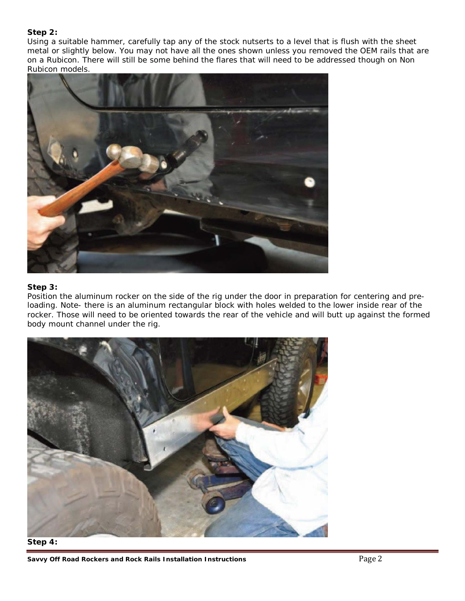# **Step 2:**

Using a suitable hammer, carefully tap any of the stock nutserts to a level that is flush with the sheet metal or slightly below. You may not have all the ones shown unless you removed the OEM rails that are on a Rubicon. There will still be some behind the flares that will need to be addressed though on Non Rubicon models.



# **Step 3:**

Position the aluminum rocker on the side of the rig under the door in preparation for centering and preloading. Note- there is an aluminum rectangular block with holes welded to the lower inside rear of the rocker. Those will need to be oriented towards the rear of the vehicle and will butt up against the formed body mount channel under the rig.





**Savvy Off Road Rockers and Rock Rails Installation Instructions Page 2** Page 2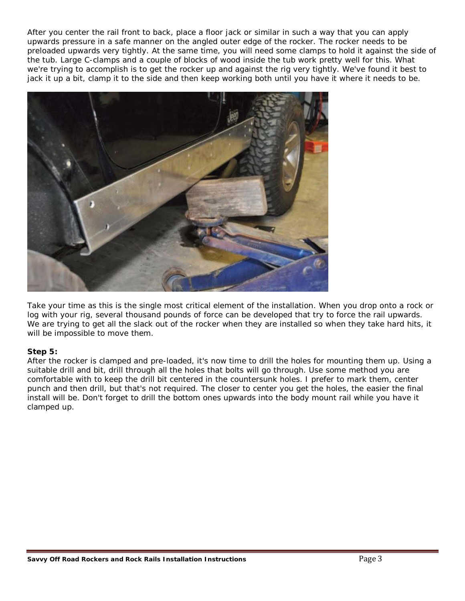After you center the rail front to back, place a floor jack or similar in such a way that you can apply upwards pressure in a safe manner on the angled outer edge of the rocker. The rocker needs to be preloaded upwards very tightly. At the same time, you will need some clamps to hold it against the side of the tub. Large C-clamps and a couple of blocks of wood inside the tub work pretty well for this. What we're trying to accomplish is to get the rocker up and against the rig very tightly. We've found it best to jack it up a bit, clamp it to the side and then keep working both until you have it where it needs to be.



Take your time as this is the single most critical element of the installation. When you drop onto a rock or log with your rig, several thousand pounds of force can be developed that try to force the rail upwards. We are trying to get all the slack out of the rocker when they are installed so when they take hard hits, it will be impossible to move them.

## **Step 5:**

After the rocker is clamped and pre-loaded, it's now time to drill the holes for mounting them up. Using a suitable drill and bit, drill through all the holes that bolts will go through. Use some method you are comfortable with to keep the drill bit centered in the countersunk holes. I prefer to mark them, center punch and then drill, but that's not required. The closer to center you get the holes, the easier the final install will be. Don't forget to drill the bottom ones upwards into the body mount rail while you have it clamped up.